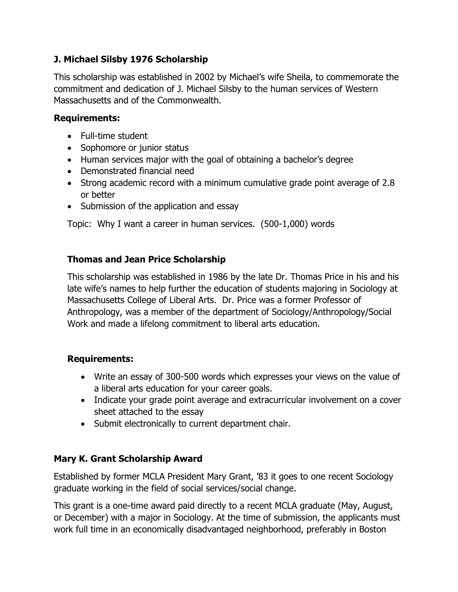# **J. Michael Silsby 1976 Scholarship**

This scholarship was established in 2002 by Michael's wife Sheila, to commemorate the commitment and dedication of J. Michael Silsby to the human services of Western Massachusetts and of the Commonwealth.

### **Requirements:**

- Full-time student
- Sophomore or junior status
- Human services major with the goal of obtaining a bachelor's degree
- Demonstrated financial need
- Strong academic record with a minimum cumulative grade point average of 2.8 or better
- Submission of the application and essay

Topic: Why I want a career in human services. (500-1,000) words

# **Thomas and Jean Price Scholarship**

This scholarship was established in 1986 by the late Dr. Thomas Price in his and his late wife's names to help further the education of students majoring in Sociology at Massachusetts College of Liberal Arts. Dr. Price was a former Professor of Anthropology, was a member of the department of Sociology/Anthropology/Social Work and made a lifelong commitment to liberal arts education.

### **Requirements:**

- Write an essay of 300-500 words which expresses your views on the value of a liberal arts education for your career goals.
- Indicate your grade point average and extracurricular involvement on a cover sheet attached to the essay
- Submit electronically to current department chair.

### **Mary K. Grant Scholarship Award**

Established by former MCLA President Mary Grant, '83 it goes to one recent Sociology graduate working in the field of social services/social change.

This grant is a one-time award paid directly to a recent MCLA graduate (May, August, or December) with a major in Sociology. At the time of submission, the applicants must work full time in an economically disadvantaged neighborhood, preferably in Boston